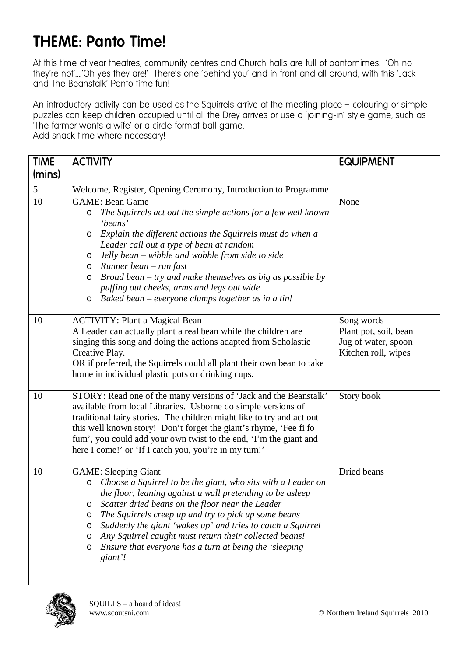## THEME: Panto Time!

At this time of year theatres, community centres and Church halls are full of pantomimes. 'Oh no they're not'….'Oh yes they are!' There's one 'behind you' and in front and all around, with this 'Jack and The Beanstalk' Panto time fun!

An introductory activity can be used as the Sauirrels arrive at the meeting place – colouring or simple puzzles can keep children occupied until all the Drey arrives or use a 'joining-in' style game, such as 'The farmer wants a wife' or a circle format ball game. Add snack time where necessary!

TIME (mins) ACTIVITY **EQUIPMENT** 5 Welcome, Register, Opening Ceremony, Introduction to Programme 10 GAME: Bean Game o *The Squirrels act out the simple actions for a few well known 'beans'*  o *Explain the different actions the Squirrels must do when a Leader call out a type of bean at random*  o *Jelly bean – wibble and wobble from side to side*  o *Runner bean – run fast*  o *Broad bean – try and make themselves as big as possible by puffing out cheeks, arms and legs out wide*  o *Baked bean – everyone clumps together as in a tin!*  None 10 ACTIVITY: Plant a Magical Bean A Leader can actually plant a real bean while the children are singing this song and doing the actions adapted from Scholastic Creative Play. OR if preferred, the Squirrels could all plant their own bean to take home in individual plastic pots or drinking cups. Song words Plant pot, soil, bean Jug of water, spoon Kitchen roll, wipes 10 STORY: Read one of the many versions of 'Jack and the Beanstalk' available from local Libraries. Usborne do simple versions of traditional fairy stories. The children might like to try and act out this well known story! Don't forget the giant's rhyme, 'Fee fi fo fum', you could add your own twist to the end, 'I'm the giant and here I come!' or 'If I catch you, you're in my tum!' Story book 10 GAME: Sleeping Giant o *Choose a Squirrel to be the giant, who sits with a Leader on the floor, leaning against a wall pretending to be asleep* o *Scatter dried beans on the floor near the Leader* o *The Squirrels creep up and try to pick up some beans* o *Suddenly the giant 'wakes up' and tries to catch a Squirrel* o *Any Squirrel caught must return their collected beans!* o *Ensure that everyone has a turn at being the 'sleeping giant'!* Dried beans